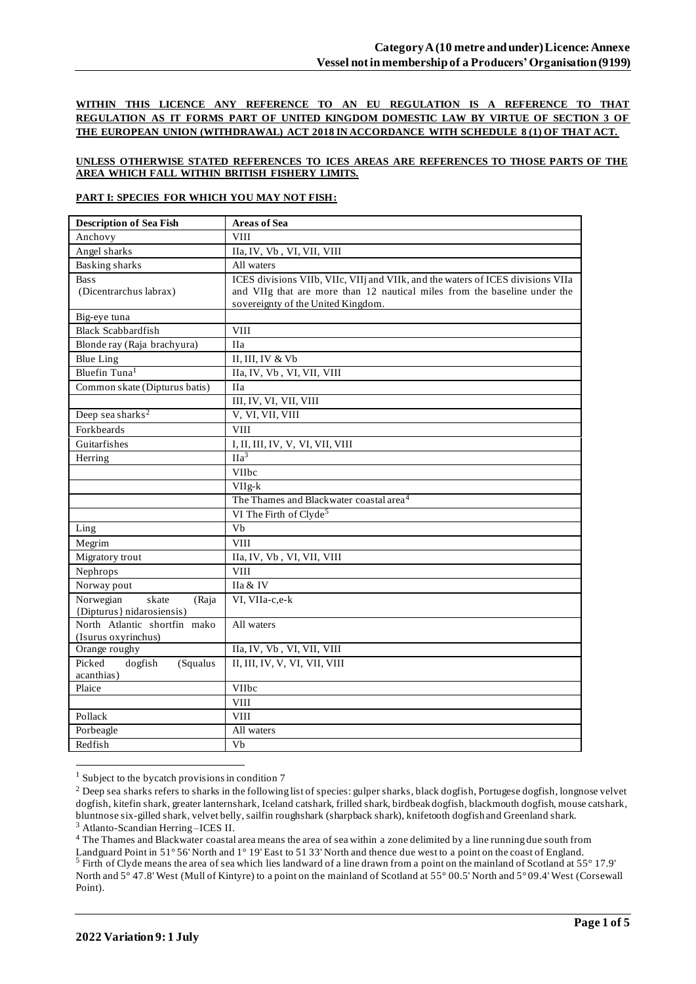**WITHIN THIS LICENCE ANY REFERENCE TO AN EU REGULATION IS A REFERENCE TO THAT REGULATION AS IT FORMS PART OF UNITED KINGDOM DOMESTIC LAW BY VIRTUE OF SECTION 3 OF THE EUROPEAN UNION (WITHDRAWAL) ACT 2018 IN ACCORDANCE WITH SCHEDULE 8 (1) OF THAT ACT.**

### **UNLESS OTHERWISE STATED REFERENCES TO ICES AREAS ARE REFERENCES TO THOSE PARTS OF THE AREA WHICH FALL WITHIN BRITISH FISHERY LIMITS.**

### **PART I: SPECIES FOR WHICH YOU MAY NOT FISH:**

| <b>Description of Sea Fish</b> | <b>Areas of Sea</b>                                                             |
|--------------------------------|---------------------------------------------------------------------------------|
| Anchovy                        | <b>VIII</b>                                                                     |
| Angel sharks                   | IIa, IV, Vb, VI, VII, VIII                                                      |
| <b>Basking sharks</b>          | All waters                                                                      |
| <b>Bass</b>                    | ICES divisions VIIb, VIIc, VIIj and VIIk, and the waters of ICES divisions VIIa |
| (Dicentrarchus labrax)         | and VIIg that are more than 12 nautical miles from the baseline under the       |
|                                | sovereignty of the United Kingdom.                                              |
| Big-eye tuna                   |                                                                                 |
| <b>Black Scabbardfish</b>      | <b>VIII</b>                                                                     |
| Blonde ray (Raja brachyura)    | <b>IIa</b>                                                                      |
| <b>Blue Ling</b>               | II, III, IV & Vb                                                                |
| Bluefin Tuna <sup>1</sup>      | IIa, IV, Vb, VI, VII, VIII                                                      |
| Common skate (Dipturus batis)  | <b>IIa</b>                                                                      |
|                                | III, IV, VI, VII, VIII                                                          |
| Deep sea sharks <sup>2</sup>   | V, VI, VII, VIII                                                                |
| Forkbeards                     | <b>VIII</b>                                                                     |
| Guitarfishes                   | I, II, III, IV, V, VI, VII, VIII                                                |
| Herring                        | $\Pi a^3$                                                                       |
|                                | VIIbc                                                                           |
|                                | $VIIg-k$                                                                        |
|                                | The Thames and Blackwater coastal area <sup>4</sup>                             |
|                                | VI The Firth of Clyde <sup>5</sup>                                              |
| Ling                           | Vb                                                                              |
| Megrim                         | <b>VIII</b>                                                                     |
| Migratory trout                | IIa, IV, Vb, VI, VII, VIII                                                      |
| Nephrops                       | <b>VIII</b>                                                                     |
| Norway pout                    | IIa & IV                                                                        |
| Norwegian<br>skate<br>(Raja    | VI, VIIa-c,e-k                                                                  |
| {Dipturus} nidarosiensis)      |                                                                                 |
| North Atlantic shortfin mako   | All waters                                                                      |
| (Isurus oxyrinchus)            |                                                                                 |
| Orange roughy                  | IIa, IV, Vb, VI, VII, VIII                                                      |
| Picked<br>dogfish<br>(Squalus  | II, III, IV, V, VI, VII, VIII                                                   |
| acanthias)                     |                                                                                 |
| Plaice                         | <b>VIIbc</b>                                                                    |
|                                | <b>VIII</b>                                                                     |
| Pollack                        | <b>VIII</b>                                                                     |
| Porbeagle                      | All waters                                                                      |
| Redfish                        | Vb                                                                              |

<sup>1</sup> Subject to the bycatch provisions in condition 7

<sup>3</sup> Atlanto-Scandian Herring –ICES II.

<sup>&</sup>lt;sup>2</sup> Deep sea sharks refers to sharks in the following list of species: gulper sharks, black dogfish, Portugese dogfish, longnose velvet dogfish, kitefin shark, greater lanternshark, Iceland catshark, frilled shark, birdbeak dogfish, blackmouth dogfish, mouse catshark, bluntnose six-gilled shark, velvet belly, sailfin roughshark (sharpback shark), knifetooth dogfish and Greenland shark.

<sup>&</sup>lt;sup>4</sup> The Thames and Blackwater coastal area means the area of sea within a zone delimited by a line running due south from Landguard Point in 51° 56' North and 1° 19' East to 51 33' North and thence due west to a point on the coast of England. <sup>5</sup> Firth of Clyde means the area of sea which lies landward of a line drawn from a point on the mainland of Scotland at 55° 17.9' North and 5° 47.8' West (Mull of Kintyre) to a point on the mainland of Scotland at 55° 00.5' North and 5° 09.4' West (Corsewall Point).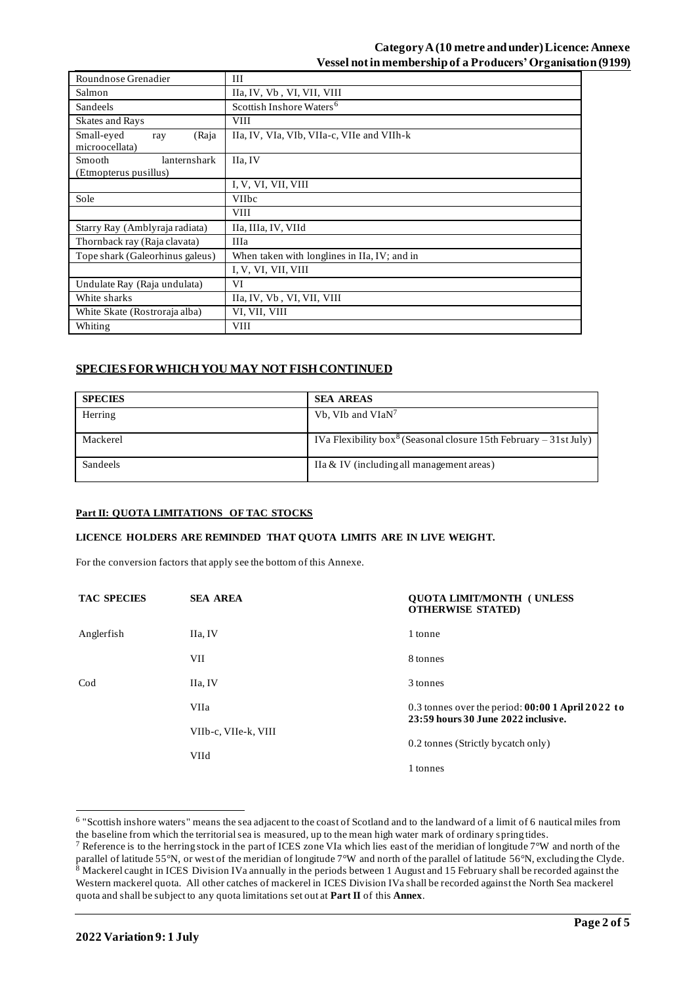# **CategoryA (10 metre and under) Licence: Annexe Vessel not in membership of a Producers' Organisation (9199)**

| Roundnose Grenadier                             | III                                          |
|-------------------------------------------------|----------------------------------------------|
| Salmon                                          | IIa, IV, Vb, VI, VII, VIII                   |
| Sandeels                                        | Scottish Inshore Waters <sup>6</sup>         |
| Skates and Rays                                 | VIII                                         |
| Small-eyed<br>(Raja<br>ray<br>microocellata)    | IIa, IV, VIa, VIb, VIIa-c, VIIe and VIIh-k   |
| Smooth<br>lanternshark<br>(Etmopterus pusillus) | IIa, IV                                      |
|                                                 | I, V, VI, VII, VIII                          |
| Sole                                            | <b>VIIbc</b>                                 |
|                                                 | <b>VIII</b>                                  |
| Starry Ray (Amblyraja radiata)                  | IIa, IIIa, IV, VIId                          |
| Thornback ray (Raja clavata)                    | IIIa                                         |
| Tope shark (Galeorhinus galeus)                 | When taken with longlines in IIa, IV; and in |
|                                                 | I, V, VI, VII, VIII                          |
| Undulate Ray (Raja undulata)                    | VI                                           |
| White sharks                                    | IIa, IV, Vb, VI, VII, VIII                   |
| White Skate (Rostroraja alba)                   | VI, VII, VIII                                |
| Whiting                                         | <b>VIII</b>                                  |

# **SPECIES FOR WHICH YOU MAY NOT FISH CONTINUED**

| <b>SPECIES</b> | <b>SEA AREAS</b>                                                              |
|----------------|-------------------------------------------------------------------------------|
| Herring        | Vb, VIb and VIaN <sup>7</sup>                                                 |
| Mackerel       | IVa Flexibility box <sup>8</sup> (Seasonal closure 15th February – 31st July) |
| Sandeels       | IIa & IV (including all management areas)                                     |

#### **Part II: QUOTA LIMITATIONS OF TAC STOCKS**

#### **LICENCE HOLDERS ARE REMINDED THAT QUOTA LIMITS ARE IN LIVE WEIGHT.**

For the conversion factors that apply see the bottom of this Annexe.

| <b>TAC SPECIES</b> | <b>SEA AREA</b>      | <b>OUOTA LIMIT/MONTH (UNLESS)</b><br><b>OTHERWISE STATED)</b>                             |
|--------------------|----------------------|-------------------------------------------------------------------------------------------|
| Anglerfish         | IIa, IV              | 1 tonne                                                                                   |
|                    | VII                  | 8 tonnes                                                                                  |
| $\rm Cod$          | IIa, IV              | 3 tonnes                                                                                  |
|                    | VIIa                 | 0.3 tonnes over the period: $00:001$ April 2022 to<br>23:59 hours 30 June 2022 inclusive. |
|                    | VIIb-c, VIIe-k, VIII |                                                                                           |
|                    | <b>VIId</b>          | 0.2 tonnes (Strictly bycatch only)                                                        |
|                    |                      | 1 tonnes                                                                                  |

<sup>&</sup>lt;sup>6</sup> "Scottish inshore waters" means the sea adjacent to the coast of Scotland and to the landward of a limit of 6 nautical miles from the baseline from which the territorial sea is measured, up to the mean high water mark of ordinary spring tides.

<sup>&</sup>lt;sup>7</sup> Reference is to the herring stock in the part of ICES zone VIa which lies east of the meridian of longitude  $7^{\circ}W$  and north of the parallel of latitude 55°N, or west of the meridian of longitude 7°W and north of the parallel of latitude 56°N, excluding the Clyde.  $8$  Mackerel caught in ICES Division IVa annually in the periods between 1 August and 15 February shall be recorded against the Western mackerel quota. All other catches of mackerel in ICES Division IVa shall be recorded against the North Sea mackerel quota and shall be subject to any quota limitations set out at **Part II** of this **Annex**.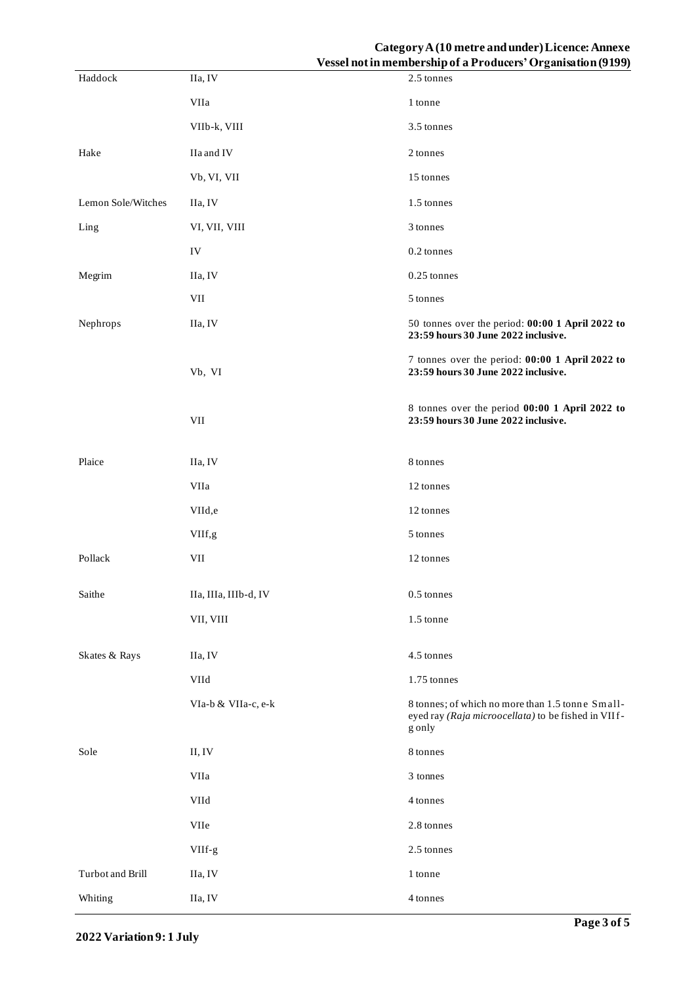# **CategoryA (10 metre and under) Licence: Annexe Vessel not in membership of a Producers' Organisation (9199)**

|                    |                           | $\alpha$ esser not in inclinuer simpler a 1 routilers. Or gainsation (2122)                                       |
|--------------------|---------------------------|-------------------------------------------------------------------------------------------------------------------|
| Haddock            | IIa, IV                   | 2.5 tonnes                                                                                                        |
|                    | VIIa                      | 1 tonne                                                                                                           |
|                    | VIIb-k, VIII              | 3.5 tonnes                                                                                                        |
| Hake               | IIa and IV                | 2 tonnes                                                                                                          |
|                    | Vb, VI, VII               | 15 tonnes                                                                                                         |
| Lemon Sole/Witches | IIa, IV                   | 1.5 tonnes                                                                                                        |
| Ling               | VI, VII, VIII             | 3 tonnes                                                                                                          |
|                    | ${\rm IV}$                | 0.2 tonnes                                                                                                        |
| Megrim             | IIa, IV                   | 0.25 tonnes                                                                                                       |
|                    | $\ensuremath{\text{VII}}$ | 5 tonnes                                                                                                          |
| Nephrops           | IIa, IV                   | 50 tonnes over the period: 00:00 1 April 2022 to<br>23:59 hours 30 June 2022 inclusive.                           |
|                    | Vb, VI                    | 7 tonnes over the period: 00:00 1 April 2022 to<br>23:59 hours 30 June 2022 inclusive.                            |
|                    | $\ensuremath{\text{VII}}$ | 8 tonnes over the period 00:00 1 April 2022 to<br>23:59 hours 30 June 2022 inclusive.                             |
| Plaice             | IIa, IV                   | 8 tonnes                                                                                                          |
|                    | VIIa                      | 12 tonnes                                                                                                         |
|                    | VIId,e                    | 12 tonnes                                                                                                         |
|                    | VIIf,g                    | 5 tonnes                                                                                                          |
| Pollack            | $\ensuremath{\text{VII}}$ | 12 tonnes                                                                                                         |
| Saithe             | IIa, IIIa, IIIb-d, IV     | $0.5$ tonnes                                                                                                      |
|                    | VII, VIII                 | 1.5 tonne                                                                                                         |
| Skates & Rays      | IIa, IV                   | 4.5 tonnes                                                                                                        |
|                    | VIId                      | 1.75 tonnes                                                                                                       |
|                    | VIa-b & VIIa-c, e-k       | 8 tonnes; of which no more than 1.5 tonne Small-<br>eyed ray (Raja microocellata) to be fished in VIIf-<br>g only |
| Sole               | II, IV                    | 8 tonnes                                                                                                          |
|                    | VIIa                      | 3 tonnes                                                                                                          |
|                    | VIId                      | 4 tonnes                                                                                                          |
|                    | VIIe                      | 2.8 tonnes                                                                                                        |
|                    | VIIf-g                    | 2.5 tonnes                                                                                                        |
| Turbot and Brill   | IIa, IV                   | 1 tonne                                                                                                           |
| Whiting            | IIa, IV                   | 4 tonnes                                                                                                          |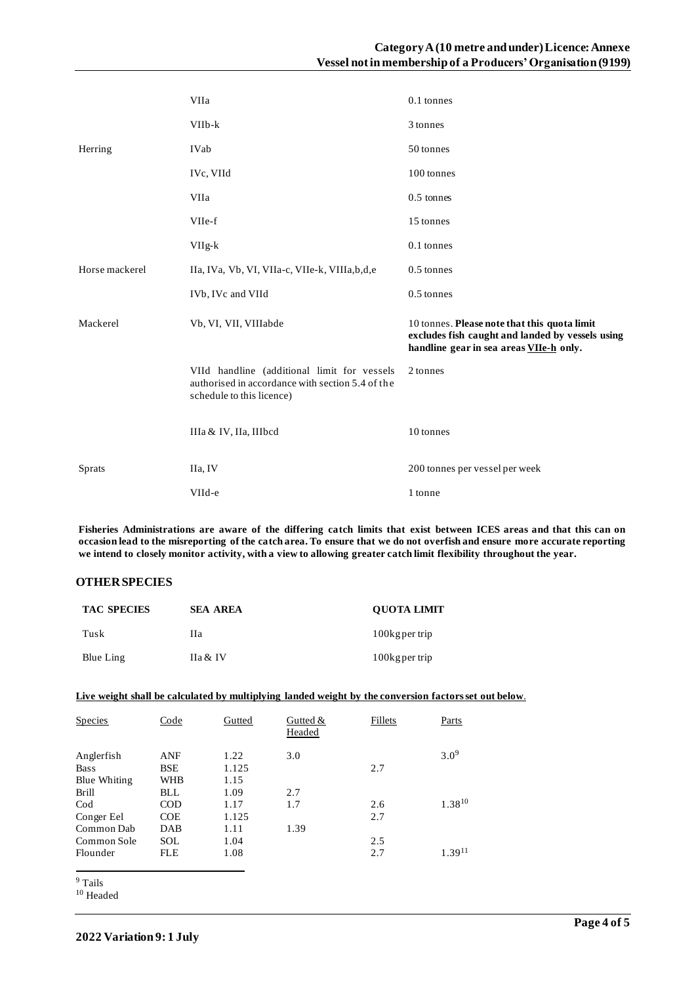|                | VIIa                                                                                                                         | 0.1 tonnes                                                                                                                                  |
|----------------|------------------------------------------------------------------------------------------------------------------------------|---------------------------------------------------------------------------------------------------------------------------------------------|
|                | $VIIb-k$                                                                                                                     | 3 tonnes                                                                                                                                    |
| Herring        | IVab                                                                                                                         | 50 tonnes                                                                                                                                   |
|                | IVc, VIId                                                                                                                    | 100 tonnes                                                                                                                                  |
|                | VIIa                                                                                                                         | $0.5$ tonnes                                                                                                                                |
|                | VIIe-f                                                                                                                       | 15 tonnes                                                                                                                                   |
|                | $VIIg-k$                                                                                                                     | 0.1 tonnes                                                                                                                                  |
| Horse mackerel | IIa, IVa, Vb, VI, VIIa-c, VIIe-k, VIIIa, b, d, e                                                                             | $0.5$ tonnes                                                                                                                                |
|                | IVb, IVc and VIId                                                                                                            | 0.5 tonnes                                                                                                                                  |
| Mackerel       | Vb, VI, VII, VIIIabde                                                                                                        | 10 tonnes. Please note that this quota limit<br>excludes fish caught and landed by vessels using<br>handline gear in sea areas VIIe-h only. |
|                | VIId handline (additional limit for vessels<br>authorised in accordance with section 5.4 of the<br>schedule to this licence) | 2 tonnes                                                                                                                                    |
|                | IIIa & IV, IIa, IIIbcd                                                                                                       | 10 tonnes                                                                                                                                   |
| <b>Sprats</b>  | IIa, IV                                                                                                                      | 200 tonnes per vessel per week                                                                                                              |
|                | VIId-e                                                                                                                       | 1 tonne                                                                                                                                     |

**Fisheries Administrations are aware of the differing catch limits that exist between ICES areas and that this can on occasion lead to the misreporting of the catch area. To ensure that we do not overfish and ensure more accurate reporting we intend to closely monitor activity, with a view to allowing greater catch limit flexibility throughout the year.**

# **OTHER SPECIES**

| <b>TAC SPECIES</b> | <b>SEA AREA</b> | <b>OUOTA LIMIT</b> |
|--------------------|-----------------|--------------------|
| Tusk               | Hа              | 100kg per trip     |
| Blue Ling          | IIa & IV        | 100 kg per trip    |

### **Live weight shall be calculated by multiplying landed weight by the conversion factors set out below**.

| <b>Species</b>      | Code       | Gutted | Gutted $&$<br>Headed | Fillets | Parts              |
|---------------------|------------|--------|----------------------|---------|--------------------|
| Anglerfish          | <b>ANF</b> | 1.22   | 3.0                  |         | $3.0^{9}$          |
| <b>Bass</b>         | <b>BSE</b> | 1.125  |                      | 2.7     |                    |
| <b>Blue Whiting</b> | <b>WHB</b> | 1.15   |                      |         |                    |
| <b>Brill</b>        | BLL        | 1.09   | 2.7                  |         |                    |
| $\rm Cod$           | COD        | 1.17   | 1.7                  | 2.6     | 1.38 <sup>10</sup> |
| Conger Eel          | <b>COE</b> | 1.125  |                      | 2.7     |                    |
| Common Dab          | DAB        | 1.11   | 1.39                 |         |                    |
| Common Sole         | SOL        | 1.04   |                      | 2.5     |                    |
| Flounder            | <b>FLE</b> | 1.08   |                      | 2.7     | $1.39^{11}$        |

<sup>9</sup> Tails

<sup>10</sup> Headed